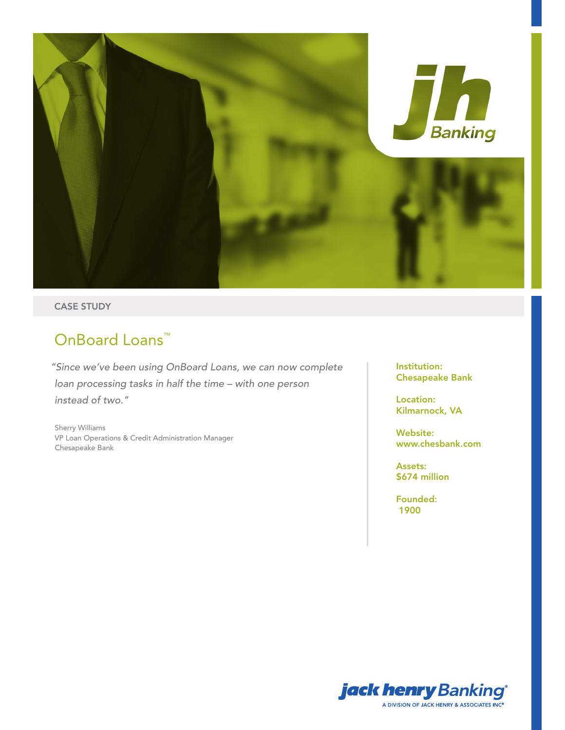

### CASE STUDY

# OnBoard Loans<sup>™</sup>

*"Since we've been using OnBoard Loans, we can now complete loan processing tasks in half the time – with one person instead of two."* 

Sherry Williams VP Loan Operations & Credit Administration Manager Chesapeake Bank

Institution: Chesapeake Bank

Location: Kilmarnock, VA

Website: www.chesbank.com

Assets: \$674 million

Founded: 1900

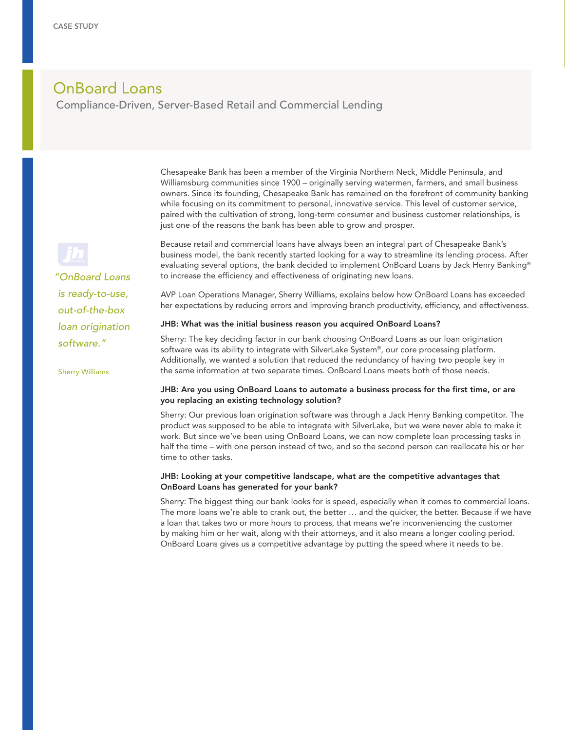## OnBoard Loans

Compliance-Driven, Server-Based Retail and Commercial Lending

Chesapeake Bank has been a member of the Virginia Northern Neck, Middle Peninsula, and Williamsburg communities since 1900 – originally serving watermen, farmers, and small business owners. Since its founding, Chesapeake Bank has remained on the forefront of community banking while focusing on its commitment to personal, innovative service. This level of customer service, paired with the cultivation of strong, long-term consumer and business customer relationships, is just one of the reasons the bank has been able to grow and prosper.

*"OnBoard Loans is ready-to-use, out-of-the-box loan origination software."* 

Sherry Williams

Because retail and commercial loans have always been an integral part of Chesapeake Bank's business model, the bank recently started looking for a way to streamline its lending process. After evaluating several options, the bank decided to implement OnBoard Loans by Jack Henry Banking® to increase the efficiency and effectiveness of originating new loans.

AVP Loan Operations Manager, Sherry Williams, explains below how OnBoard Loans has exceeded her expectations by reducing errors and improving branch productivity, efficiency, and effectiveness.

#### JHB: What was the initial business reason you acquired OnBoard Loans?

Sherry: The key deciding factor in our bank choosing OnBoard Loans as our loan origination software was its ability to integrate with SilverLake System®, our core processing platform. Additionally, we wanted a solution that reduced the redundancy of having two people key in the same information at two separate times. OnBoard Loans meets both of those needs.

#### JHB: Are you using OnBoard Loans to automate a business process for the first time, or are you replacing an existing technology solution?

Sherry: Our previous loan origination software was through a Jack Henry Banking competitor. The product was supposed to be able to integrate with SilverLake, but we were never able to make it work. But since we've been using OnBoard Loans, we can now complete loan processing tasks in half the time – with one person instead of two, and so the second person can reallocate his or her time to other tasks.

#### JHB: Looking at your competitive landscape, what are the competitive advantages that OnBoard Loans has generated for your bank?

Sherry: The biggest thing our bank looks for is speed, especially when it comes to commercial loans. The more loans we're able to crank out, the better … and the quicker, the better. Because if we have a loan that takes two or more hours to process, that means we're inconveniencing the customer by making him or her wait, along with their attorneys, and it also means a longer cooling period. OnBoard Loans gives us a competitive advantage by putting the speed where it needs to be.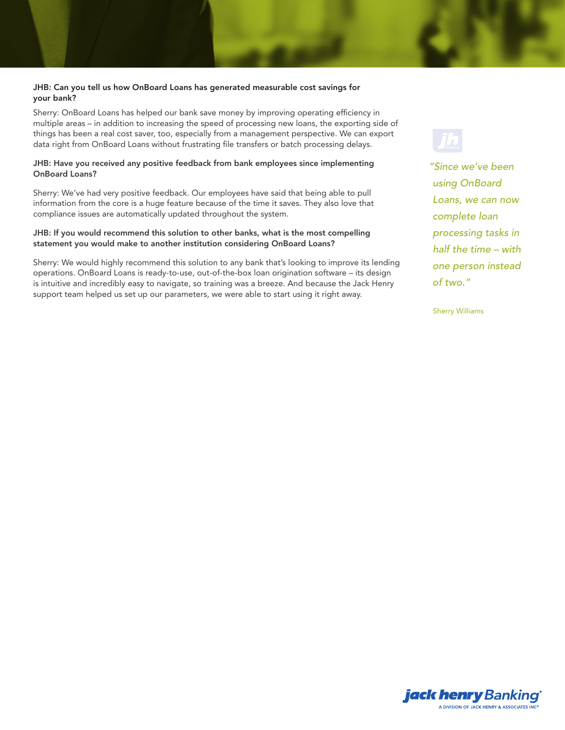#### JHB: Can you tell us how OnBoard Loans has generated measurable cost savings for your bank?

Sherry: OnBoard Loans has helped our bank save money by improving operating efficiency in multiple areas – in addition to increasing the speed of processing new loans, the exporting side of things has been a real cost saver, too, especially from a management perspective. We can export data right from OnBoard Loans without frustrating file transfers or batch processing delays.

#### JHB: Have you received any positive feedback from bank employees since implementing OnBoard Loans?

Sherry: We've had very positive feedback. Our employees have said that being able to pull information from the core is a huge feature because of the time it saves. They also love that compliance issues are automatically updated throughout the system.

#### JHB: If you would recommend this solution to other banks, what is the most compelling statement you would make to another institution considering OnBoard Loans?

Sherry: We would highly recommend this solution to any bank that's looking to improve its lending operations. OnBoard Loans is ready-to-use, out-of-the-box loan origination software – its design is intuitive and incredibly easy to navigate, so training was a breeze. And because the Jack Henry support team helped us set up our parameters, we were able to start using it right away.

*"Since we've been using OnBoard Loans, we can now complete loan processing tasks in half the time – with one person instead of two."*

Sherry Williams